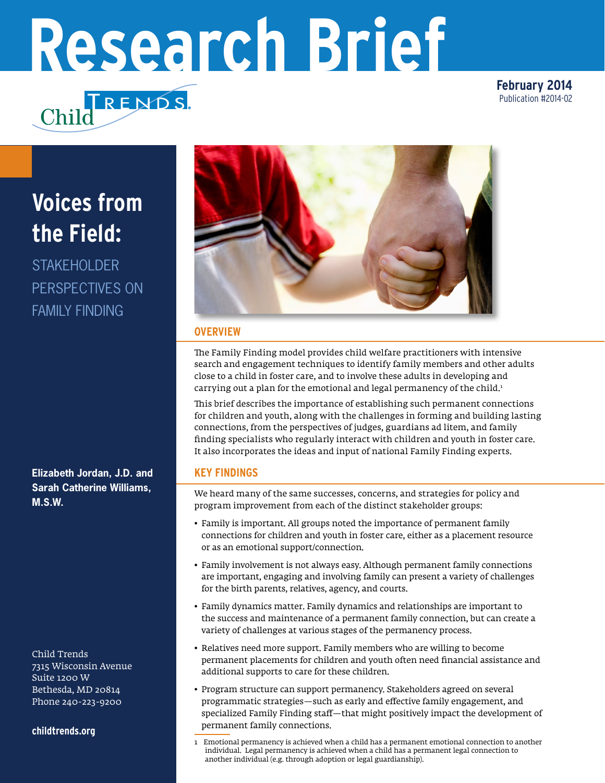# **Research Brief**

**February 2014** Publication #2014-02

# **Voices from the Field:**

**STAKEHOLDER** PERSPECTIVES ON FAMILY FINDING

**Elizabeth Jordan, J.D. and Sarah Catherine Williams, M.S.W.**

Child Trends 7315 Wisconsin Avenue Suite 1200 W Bethesda, MD 20814 Phone 240-223-9200

**<childtrends.org>**



## **OVERVIEW**

The Family Finding model provides child welfare practitioners with intensive search and engagement techniques to identify family members and other adults close to a child in foster care, and to involve these adults in developing and carrying out a plan for the emotional and legal permanency of the child.<sup>1</sup>

This brief describes the importance of establishing such permanent connections for children and youth, along with the challenges in forming and building lasting connections, from the perspectives of judges, guardians ad litem, and family finding specialists who regularly interact with children and youth in foster care. It also incorporates the ideas and input of national Family Finding experts.

# **KEY FINDINGS**

We heard many of the same successes, concerns, and strategies for policy and program improvement from each of the distinct stakeholder groups:

- Family is important. All groups noted the importance of permanent family connections for children and youth in foster care, either as a placement resource or as an emotional support/connection.
- Family involvement is not always easy. Although permanent family connections are important, engaging and involving family can present a variety of challenges for the birth parents, relatives, agency, and courts.
- Family dynamics matter. Family dynamics and relationships are important to the success and maintenance of a permanent family connection, but can create a variety of challenges at various stages of the permanency process.
- Relatives need more support. Family members who are willing to become permanent placements for children and youth often need financial assistance and additional supports to care for these children.
- Program structure can support permanency. Stakeholders agreed on several programmatic strategies—such as early and effective family engagement, and specialized Family Finding staff—that might positively impact the development of permanent family connections.

<sup>1</sup> Emotional permanency is achieved when a child has a permanent emotional connection to another individual. Legal permanency is achieved when a child has a permanent legal connection to another individual (e.g. through adoption or legal guardianship).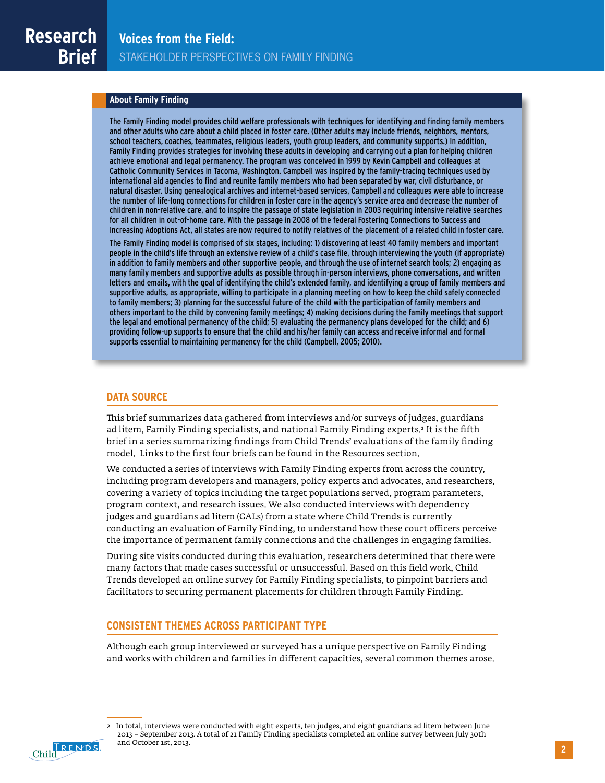### **About Family Finding**

The Family Finding model provides child welfare professionals with techniques for identifying and finding family members and other adults who care about a child placed in foster care. (Other adults may include friends, neighbors, mentors, school teachers, coaches, teammates, religious leaders, youth group leaders, and community supports.) In addition, Family Finding provides strategies for involving these adults in developing and carrying out a plan for helping children achieve emotional and legal permanency. The program was conceived in 1999 by Kevin Campbell and colleagues at Catholic Community Services in Tacoma, Washington. Campbell was inspired by the family-tracing techniques used by international aid agencies to find and reunite family members who had been separated by war, civil disturbance, or natural disaster. Using genealogical archives and internet-based services, Campbell and colleagues were able to increase the number of life-long connections for children in foster care in the agency's service area and decrease the number of children in non-relative care, and to inspire the passage of state legislation in 2003 requiring intensive relative searches for all children in out-of-home care. With the passage in 2008 of the federal Fostering Connections to Success and Increasing Adoptions Act, all states are now required to notify relatives of the placement of a related child in foster care.

The Family Finding model is comprised of six stages, including: 1) discovering at least 40 family members and important people in the child's life through an extensive review of a child's case file, through interviewing the youth (if appropriate) in addition to family members and other supportive people, and through the use of internet search tools; 2) engaging as many family members and supportive adults as possible through in-person interviews, phone conversations, and written letters and emails, with the goal of identifying the child's extended family, and identifying a group of family members and supportive adults, as appropriate, willing to participate in a planning meeting on how to keep the child safely connected to family members; 3) planning for the successful future of the child with the participation of family members and others important to the child by convening family meetings; 4) making decisions during the family meetings that support the legal and emotional permanency of the child; 5) evaluating the permanency plans developed for the child; and 6) providing follow-up supports to ensure that the child and his/her family can access and receive informal and formal supports essential to maintaining permanency for the child (Campbell, 2005; 2010).

### **DATA SOURCE**

This brief summarizes data gathered from interviews and/or surveys of judges, guardians ad litem, Family Finding specialists, and national Family Finding experts.<sup>2</sup> It is the fifth brief in a series summarizing findings from Child Trends' evaluations of the family finding model. Links to the first four briefs can be found in the Resources section.

We conducted a series of interviews with Family Finding experts from across the country, including program developers and managers, policy experts and advocates, and researchers, covering a variety of topics including the target populations served, program parameters, program context, and research issues. We also conducted interviews with dependency judges and guardians ad litem (GALs) from a state where Child Trends is currently conducting an evaluation of Family Finding, to understand how these court officers perceive the importance of permanent family connections and the challenges in engaging families.

During site visits conducted during this evaluation, researchers determined that there were many factors that made cases successful or unsuccessful. Based on this field work, Child Trends developed an online survey for Family Finding specialists, to pinpoint barriers and facilitators to securing permanent placements for children through Family Finding.

### **CONSISTENT THEMES ACROSS PARTICIPANT TYPE**

Although each group interviewed or surveyed has a unique perspective on Family Finding and works with children and families in different capacities, several common themes arose.



<sup>2</sup> In total, interviews were conducted with eight experts, ten judges, and eight guardians ad litem between June 2013 – September 2013. A total of 21 Family Finding specialists completed an online survey between July 30th and October 1st, 2013.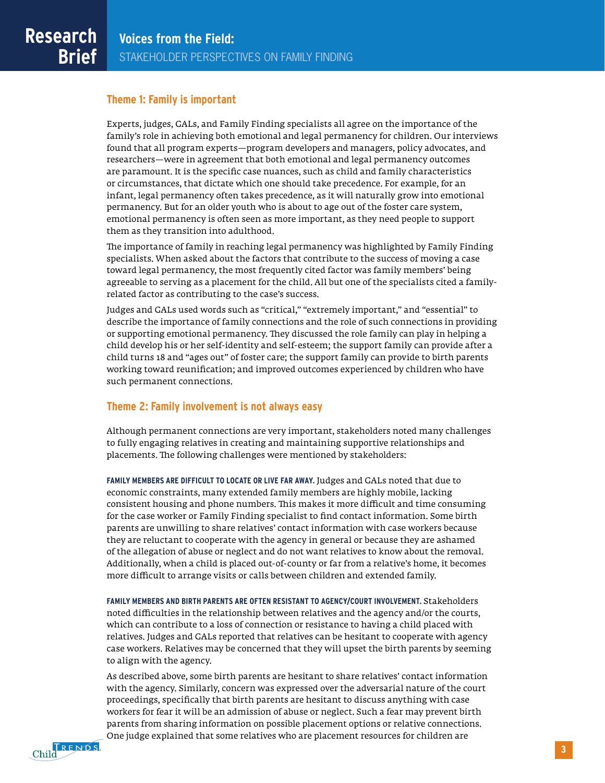### **Theme 1: Family is important**

Experts, judges, GALs, and Family Finding specialists all agree on the importance of the family's role in achieving both emotional and legal permanency for children. Our interviews found that all program experts—program developers and managers, policy advocates, and researchers—were in agreement that both emotional and legal permanency outcomes are paramount. It is the specific case nuances, such as child and family characteristics or circumstances, that dictate which one should take precedence. For example, for an infant, legal permanency often takes precedence, as it will naturally grow into emotional permanency. But for an older youth who is about to age out of the foster care system, emotional permanency is often seen as more important, as they need people to support them as they transition into adulthood.

The importance of family in reaching legal permanency was highlighted by Family Finding specialists. When asked about the factors that contribute to the success of moving a case toward legal permanency, the most frequently cited factor was family members' being agreeable to serving as a placement for the child. All but one of the specialists cited a familyrelated factor as contributing to the case's success.

Judges and GALs used words such as "critical," "extremely important," and "essential" to describe the importance of family connections and the role of such connections in providing or supporting emotional permanency. They discussed the role family can play in helping a child develop his or her self-identity and self-esteem; the support family can provide after a child turns 18 and "ages out" of foster care; the support family can provide to birth parents working toward reunification; and improved outcomes experienced by children who have such permanent connections.

### **Theme 2: Family involvement is not always easy**

Although permanent connections are very important, stakeholders noted many challenges to fully engaging relatives in creating and maintaining supportive relationships and placements. The following challenges were mentioned by stakeholders:

**FAMILY MEMBERS ARE DIFFICULT TO LOCATE OR LIVE FAR AWAY.** Judges and GALs noted that due to economic constraints, many extended family members are highly mobile, lacking consistent housing and phone numbers. This makes it more difficult and time consuming for the case worker or Family Finding specialist to find contact information. Some birth parents are unwilling to share relatives' contact information with case workers because they are reluctant to cooperate with the agency in general or because they are ashamed of the allegation of abuse or neglect and do not want relatives to know about the removal. Additionally, when a child is placed out-of-county or far from a relative's home, it becomes more difficult to arrange visits or calls between children and extended family.

**FAMILY MEMBERS AND BIRTH PARENTS ARE OFTEN RESISTANT TO AGENCY/COURT INVOLVEMENT.** Stakeholders noted difficulties in the relationship between relatives and the agency and/or the courts, which can contribute to a loss of connection or resistance to having a child placed with relatives. Judges and GALs reported that relatives can be hesitant to cooperate with agency case workers. Relatives may be concerned that they will upset the birth parents by seeming to align with the agency.

As described above, some birth parents are hesitant to share relatives' contact information with the agency. Similarly, concern was expressed over the adversarial nature of the court proceedings, specifically that birth parents are hesitant to discuss anything with case workers for fear it will be an admission of abuse or neglect. Such a fear may prevent birth parents from sharing information on possible placement options or relative connections. One judge explained that some relatives who are placement resources for children are

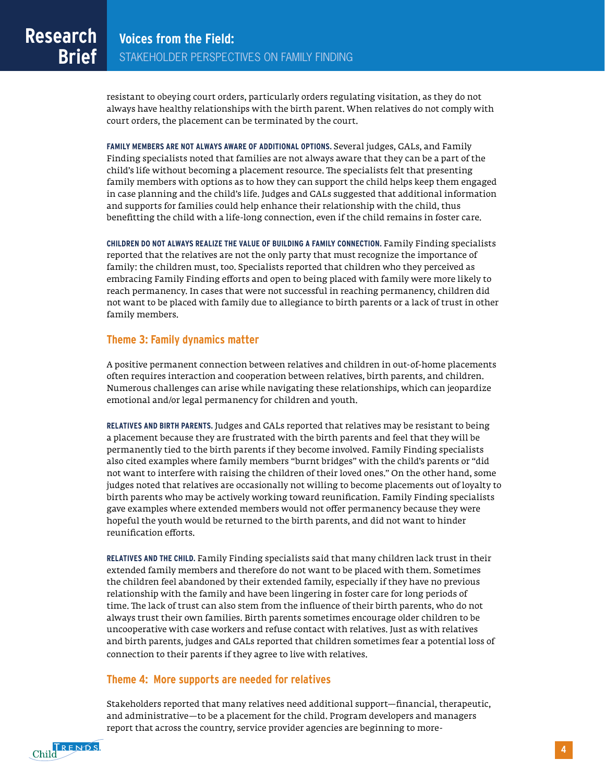resistant to obeying court orders, particularly orders regulating visitation, as they do not always have healthy relationships with the birth parent. When relatives do not comply with court orders, the placement can be terminated by the court.

**FAMILY MEMBERS ARE NOT ALWAYS AWARE OF ADDITIONAL OPTIONS.** Several judges, GALs, and Family Finding specialists noted that families are not always aware that they can be a part of the child's life without becoming a placement resource. The specialists felt that presenting family members with options as to how they can support the child helps keep them engaged in case planning and the child's life. Judges and GALs suggested that additional information and supports for families could help enhance their relationship with the child, thus benefitting the child with a life-long connection, even if the child remains in foster care.

**CHILDREN DO NOT ALWAYS REALIZE THE VALUE OF BUILDING A FAMILY CONNECTION.** Family Finding specialists reported that the relatives are not the only party that must recognize the importance of family: the children must, too. Specialists reported that children who they perceived as embracing Family Finding efforts and open to being placed with family were more likely to reach permanency. In cases that were not successful in reaching permanency, children did not want to be placed with family due to allegiance to birth parents or a lack of trust in other family members.

### **Theme 3: Family dynamics matter**

A positive permanent connection between relatives and children in out-of-home placements often requires interaction and cooperation between relatives, birth parents, and children. Numerous challenges can arise while navigating these relationships, which can jeopardize emotional and/or legal permanency for children and youth.

**RELATIVES AND BIRTH PARENTS.** Judges and GALs reported that relatives may be resistant to being a placement because they are frustrated with the birth parents and feel that they will be permanently tied to the birth parents if they become involved. Family Finding specialists also cited examples where family members "burnt bridges" with the child's parents or "did not want to interfere with raising the children of their loved ones." On the other hand, some judges noted that relatives are occasionally not willing to become placements out of loyalty to birth parents who may be actively working toward reunification. Family Finding specialists gave examples where extended members would not offer permanency because they were hopeful the youth would be returned to the birth parents, and did not want to hinder reunification efforts.

**RELATIVES AND THE CHILD.** Family Finding specialists said that many children lack trust in their extended family members and therefore do not want to be placed with them. Sometimes the children feel abandoned by their extended family, especially if they have no previous relationship with the family and have been lingering in foster care for long periods of time. The lack of trust can also stem from the influence of their birth parents, who do not always trust their own families. Birth parents sometimes encourage older children to be uncooperative with case workers and refuse contact with relatives. Just as with relatives and birth parents, judges and GALs reported that children sometimes fear a potential loss of connection to their parents if they agree to live with relatives.

### **Theme 4: More supports are needed for relatives**

Stakeholders reported that many relatives need additional support—financial, therapeutic, and administrative—to be a placement for the child. Program developers and managers report that across the country, service provider agencies are beginning to more-

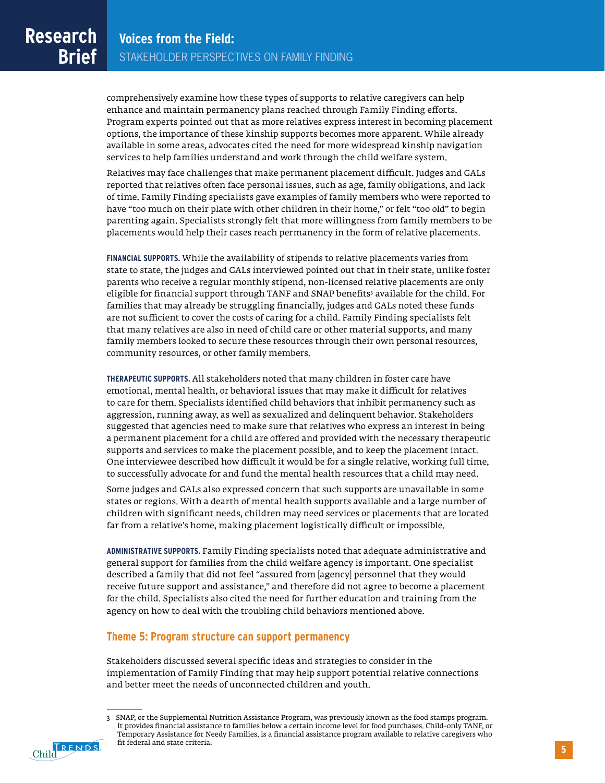comprehensively examine how these types of supports to relative caregivers can help enhance and maintain permanency plans reached through Family Finding efforts. Program experts pointed out that as more relatives express interest in becoming placement options, the importance of these kinship supports becomes more apparent. While already available in some areas, advocates cited the need for more widespread kinship navigation services to help families understand and work through the child welfare system.

Relatives may face challenges that make permanent placement difficult. Judges and GALs reported that relatives often face personal issues, such as age, family obligations, and lack of time. Family Finding specialists gave examples of family members who were reported to have "too much on their plate with other children in their home," or felt "too old" to begin parenting again. Specialists strongly felt that more willingness from family members to be placements would help their cases reach permanency in the form of relative placements.

**FINANCIAL SUPPORTS.** While the availability of stipends to relative placements varies from state to state, the judges and GALs interviewed pointed out that in their state, unlike foster parents who receive a regular monthly stipend, non-licensed relative placements are only eligible for financial support through TANF and SNAP benefits<sup>3</sup> available for the child. For families that may already be struggling financially, judges and GALs noted these funds are not sufficient to cover the costs of caring for a child. Family Finding specialists felt that many relatives are also in need of child care or other material supports, and many family members looked to secure these resources through their own personal resources, community resources, or other family members.

**THERAPEUTIC SUPPORTS.** All stakeholders noted that many children in foster care have emotional, mental health, or behavioral issues that may make it difficult for relatives to care for them. Specialists identified child behaviors that inhibit permanency such as aggression, running away, as well as sexualized and delinquent behavior. Stakeholders suggested that agencies need to make sure that relatives who express an interest in being a permanent placement for a child are offered and provided with the necessary therapeutic supports and services to make the placement possible, and to keep the placement intact. One interviewee described how difficult it would be for a single relative, working full time, to successfully advocate for and fund the mental health resources that a child may need.

Some judges and GALs also expressed concern that such supports are unavailable in some states or regions. With a dearth of mental health supports available and a large number of children with significant needs, children may need services or placements that are located far from a relative's home, making placement logistically difficult or impossible.

**ADMINISTRATIVE SUPPORTS.** Family Finding specialists noted that adequate administrative and general support for families from the child welfare agency is important. One specialist described a family that did not feel "assured from [agency] personnel that they would receive future support and assistance," and therefore did not agree to become a placement for the child. Specialists also cited the need for further education and training from the agency on how to deal with the troubling child behaviors mentioned above.

### **Theme 5: Program structure can support permanency**

Stakeholders discussed several specific ideas and strategies to consider in the implementation of Family Finding that may help support potential relative connections and better meet the needs of unconnected children and youth.

Child FRENDS

<sup>3</sup> SNAP, or the Supplemental Nutrition Assistance Program, was previously known as the food stamps program. It provides financial assistance to families below a certain income level for food purchases. Child-only TANF, or Temporary Assistance for Needy Families, is a financial assistance program available to relative caregivers who fit federal and state criteria.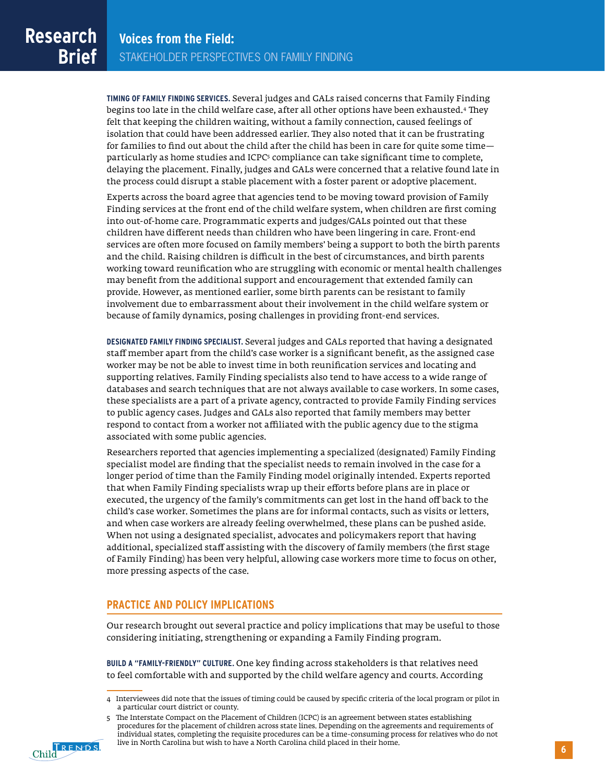**TIMING OF FAMILY FINDING SERVICES.** Several judges and GALs raised concerns that Family Finding begins too late in the child welfare case, after all other options have been exhausted.4 They felt that keeping the children waiting, without a family connection, caused feelings of isolation that could have been addressed earlier. They also noted that it can be frustrating for families to find out about the child after the child has been in care for quite some time particularly as home studies and ICPC<sup>5</sup> compliance can take significant time to complete, delaying the placement. Finally, judges and GALs were concerned that a relative found late in the process could disrupt a stable placement with a foster parent or adoptive placement.

Experts across the board agree that agencies tend to be moving toward provision of Family Finding services at the front end of the child welfare system, when children are first coming into out-of-home care. Programmatic experts and judges/GALs pointed out that these children have different needs than children who have been lingering in care. Front-end services are often more focused on family members' being a support to both the birth parents and the child. Raising children is difficult in the best of circumstances, and birth parents working toward reunification who are struggling with economic or mental health challenges may benefit from the additional support and encouragement that extended family can provide. However, as mentioned earlier, some birth parents can be resistant to family involvement due to embarrassment about their involvement in the child welfare system or because of family dynamics, posing challenges in providing front-end services.

**DESIGNATED FAMILY FINDING SPECIALIST.** Several judges and GALs reported that having a designated staff member apart from the child's case worker is a significant benefit, as the assigned case worker may be not be able to invest time in both reunification services and locating and supporting relatives. Family Finding specialists also tend to have access to a wide range of databases and search techniques that are not always available to case workers. In some cases, these specialists are a part of a private agency, contracted to provide Family Finding services to public agency cases. Judges and GALs also reported that family members may better respond to contact from a worker not affiliated with the public agency due to the stigma associated with some public agencies.

Researchers reported that agencies implementing a specialized (designated) Family Finding specialist model are finding that the specialist needs to remain involved in the case for a longer period of time than the Family Finding model originally intended. Experts reported that when Family Finding specialists wrap up their efforts before plans are in place or executed, the urgency of the family's commitments can get lost in the hand off back to the child's case worker. Sometimes the plans are for informal contacts, such as visits or letters, and when case workers are already feeling overwhelmed, these plans can be pushed aside. When not using a designated specialist, advocates and policymakers report that having additional, specialized staff assisting with the discovery of family members (the first stage of Family Finding) has been very helpful, allowing case workers more time to focus on other, more pressing aspects of the case.

### **PRACTICE AND POLICY IMPLICATIONS**

Our research brought out several practice and policy implications that may be useful to those considering initiating, strengthening or expanding a Family Finding program.

**BUILD A "FAMILY-FRIENDLY" CULTURE.** One key finding across stakeholders is that relatives need to feel comfortable with and supported by the child welfare agency and courts. According

<sup>5</sup> The Interstate Compact on the Placement of Children (ICPC) is an agreement between states establishing procedures for the placement of children across state lines. Depending on the agreements and requirements of individual states, completing the requisite procedures can be a time-consuming process for relatives who do not live in North Carolina but wish to have a North Carolina child placed in their home.



<sup>4</sup> Interviewees did note that the issues of timing could be caused by specific criteria of the local program or pilot in a particular court district or county.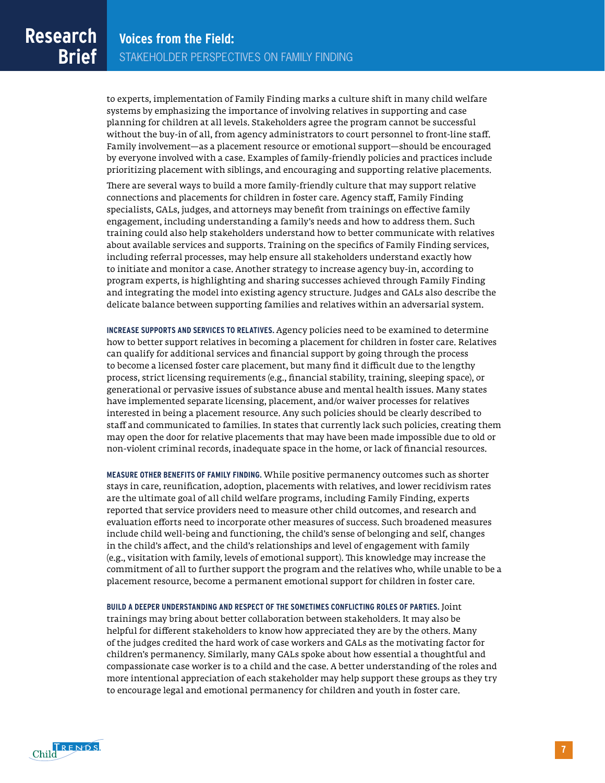to experts, implementation of Family Finding marks a culture shift in many child welfare systems by emphasizing the importance of involving relatives in supporting and case planning for children at all levels. Stakeholders agree the program cannot be successful without the buy-in of all, from agency administrators to court personnel to front-line staff. Family involvement—as a placement resource or emotional support—should be encouraged by everyone involved with a case. Examples of family-friendly policies and practices include prioritizing placement with siblings, and encouraging and supporting relative placements.

There are several ways to build a more family-friendly culture that may support relative connections and placements for children in foster care. Agency staff, Family Finding specialists, GALs, judges, and attorneys may benefit from trainings on effective family engagement, including understanding a family's needs and how to address them. Such training could also help stakeholders understand how to better communicate with relatives about available services and supports. Training on the specifics of Family Finding services, including referral processes, may help ensure all stakeholders understand exactly how to initiate and monitor a case. Another strategy to increase agency buy-in, according to program experts, is highlighting and sharing successes achieved through Family Finding and integrating the model into existing agency structure. Judges and GALs also describe the delicate balance between supporting families and relatives within an adversarial system.

**INCREASE SUPPORTS AND SERVICES TO RELATIVES.** Agency policies need to be examined to determine how to better support relatives in becoming a placement for children in foster care. Relatives can qualify for additional services and financial support by going through the process to become a licensed foster care placement, but many find it difficult due to the lengthy process, strict licensing requirements (e.g., financial stability, training, sleeping space), or generational or pervasive issues of substance abuse and mental health issues. Many states have implemented separate licensing, placement, and/or waiver processes for relatives interested in being a placement resource. Any such policies should be clearly described to staff and communicated to families. In states that currently lack such policies, creating them may open the door for relative placements that may have been made impossible due to old or non-violent criminal records, inadequate space in the home, or lack of financial resources.

**MEASURE OTHER BENEFITS OF FAMILY FINDING.** While positive permanency outcomes such as shorter stays in care, reunification, adoption, placements with relatives, and lower recidivism rates are the ultimate goal of all child welfare programs, including Family Finding, experts reported that service providers need to measure other child outcomes, and research and evaluation efforts need to incorporate other measures of success. Such broadened measures include child well-being and functioning, the child's sense of belonging and self, changes in the child's affect, and the child's relationships and level of engagement with family (e.g., visitation with family, levels of emotional support). This knowledge may increase the commitment of all to further support the program and the relatives who, while unable to be a placement resource, become a permanent emotional support for children in foster care.

**BUILD A DEEPER UNDERSTANDING AND RESPECT OF THE SOMETIMES CONFLICTING ROLES OF PARTIES.** Joint trainings may bring about better collaboration between stakeholders. It may also be helpful for different stakeholders to know how appreciated they are by the others. Many of the judges credited the hard work of case workers and GALs as the motivating factor for children's permanency. Similarly, many GALs spoke about how essential a thoughtful and compassionate case worker is to a child and the case. A better understanding of the roles and more intentional appreciation of each stakeholder may help support these groups as they try to encourage legal and emotional permanency for children and youth in foster care.